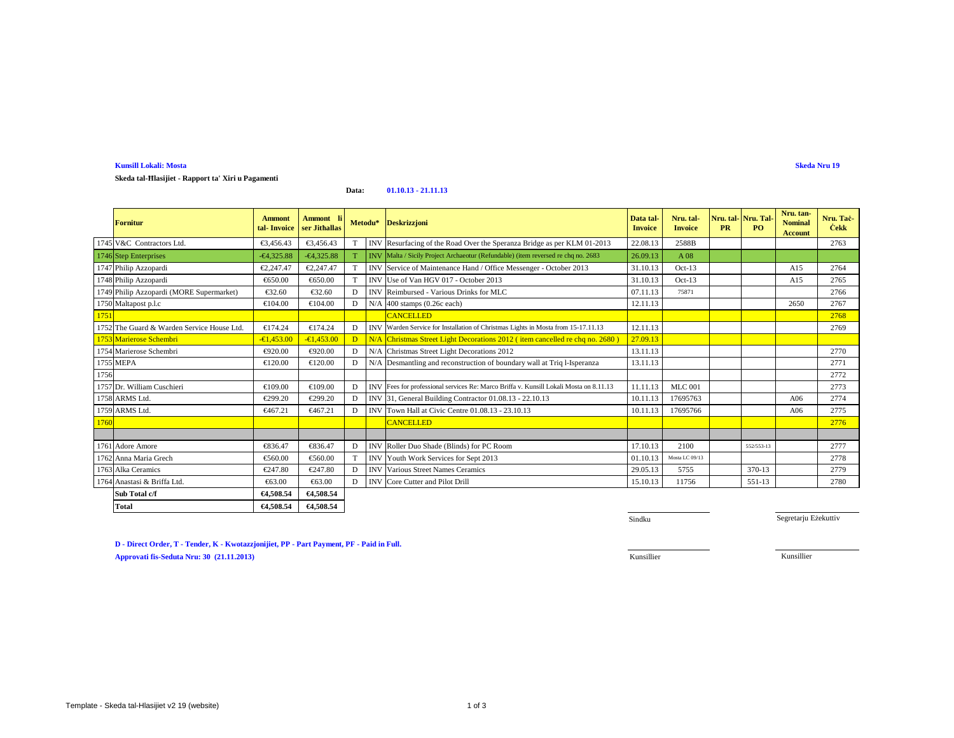# **Kunsill Lokali: Mosta**

**Skeda tal-Ħlasijiet - Rapport ta' Xiri u Pagamenti**

#### **Data:01.10.13 - 21.11.13**

|      | <b>Fornitur</b>                            | Ammont<br>tal-Invoice | Ammont li<br>ser Jithallas |   |            | Metodu* Deskrizzjoni                                                                   | Data tal<br><b>Invoice</b> | Nru. tal-<br><b>Invoice</b> | <b>PR</b> | Nru. tal-Nru. Tal-<br>P <sub>O</sub> | Nru. tan-<br><b>Nominal</b><br><b>Account</b> | Nru. Tac-<br><b>Cekk</b> |
|------|--------------------------------------------|-----------------------|----------------------------|---|------------|----------------------------------------------------------------------------------------|----------------------------|-----------------------------|-----------|--------------------------------------|-----------------------------------------------|--------------------------|
|      | 1745 V&C Contractors Ltd.                  | €3.456.43             | €3.456.43                  |   | <b>INV</b> | Resufacing of the Road Over the Speranza Bridge as per KLM 01-2013                     | 22.08.13                   | 2588B                       |           |                                      |                                               | 2763                     |
|      | 1746 Step Enterprises                      | $-64,325.88$          | $-64,325.88$               |   |            | INV Malta / Sicily Project Archaeotur (Refundable) (item reversed re chq no. 2683      | 26.09.13                   | A08                         |           |                                      |                                               |                          |
|      | 1747 Philip Azzopardi                      | €2,247.47             | €2,247.47                  |   | <b>INV</b> | Service 6 Maintenance Hand / Office Messenger - October 2013                           | 31.10.13                   | $Oct-13$                    |           |                                      | A15                                           | 2764                     |
|      | 1748 Philip Azzopardi                      | €650.00               | €650.00                    | T | <b>INV</b> | Use of Van HOV 017 - October 2013                                                      | 31.10.13                   | $Oct-13$                    |           |                                      | A15                                           | 2765                     |
|      | 1749 Philip Azzopardi (MORE Supermarket)   | €32.60                | €32.60                     | D |            | INV Reimbursed - Various Drinks for MLC                                                | 07.11.13                   | 75871                       |           |                                      |                                               | 2766                     |
|      | 1750 Maltapost p.l.c                       | €104.00               | €104.00                    | D | N/A        | 400 stamps (Q26c each)                                                                 | 12.11.13                   |                             |           |                                      | 2650                                          | 2767                     |
| 1751 |                                            |                       |                            |   |            | <b>CANCELLED</b>                                                                       |                            |                             |           |                                      |                                               | 2768                     |
|      | 1752 The Guard & Warden Service House Ltd. | €174.24               | €17.24                     | D |            | INV Warden Service for Installation of Christmas Lights in Mosta from 15-17.11.13      | 12.11.13                   |                             |           |                                      |                                               | 2769                     |
|      | 1753 Marierose Schembri                    | $-61,453.00$          | $-61.453.00$               | D |            | N/A Chrismas Street Light Decorations 2012 (item cancelled re chq no. 2680)            | 27.09.13                   |                             |           |                                      |                                               |                          |
|      | 1754 Marierose Schembri                    | €920.00               | €920.00                    | D | N/A        | Christmas Sreet Light Decorations 2012                                                 | 13.11.13                   |                             |           |                                      |                                               | 2770                     |
|      | 1755 MEPA                                  | €120.00               | €120.00                    | D | N/A        | Desmantling and reconstruction of boundary wall at Triq l-Isperanza                    | 13.11.13                   |                             |           |                                      |                                               | 2771                     |
| 1756 |                                            |                       |                            |   |            |                                                                                        |                            |                             |           |                                      |                                               | 2772                     |
|      | 1757 Dr. William Cuschieri                 | €109.00               | €109.00                    | D |            | INVIFees for professional services Re: Marco Briffa v. Kunsill Lokali Mosta on 8.11.13 | 11.11.13                   | <b>MLC</b> 001              |           |                                      |                                               | 2773                     |
|      | 1758 ARMS Ltd.                             | €299.20               | €299.20                    | D |            | INV 31, General BuildingContractor 01.08.13 - 22.10.13                                 | 10.11.13                   | 17695763                    |           |                                      | A06                                           | 2774                     |
|      | 1759 ARMS Ltd.                             | €467.21               | €467.21                    | D | <b>INV</b> | Town Hall at Civic Cntre 01.08.13 - 23.10.13                                           | 10.11.13                   | 17695766                    |           |                                      | A06                                           | 2775                     |
| 1760 |                                            |                       |                            |   |            | <b>CANCELLED</b>                                                                       |                            |                             |           |                                      |                                               | 2776                     |
|      |                                            |                       |                            |   |            |                                                                                        |                            |                             |           |                                      |                                               |                          |
|      | 1761 Adore Amore                           | €836.47               | €836.47                    | D | <b>INV</b> | Roller Duo Shade Blinds) for PC Room                                                   | 17.10.13                   | 2100                        |           | 552/553-13                           |                                               | 2777                     |
|      | 1762 Anna Maria Grech                      | €560.00               | €560.00                    | T | <b>INV</b> | Youth Work Sevices for Sept 2013                                                       | 01.10.13                   | Mosta LC 09/13              |           |                                      |                                               | 2778                     |
|      | 1763 Alka Ceramics                         | €247.80               | €247.80                    | D | <b>INV</b> | Various Street Nimes Ceramics                                                          | 29.05.13                   | 5755                        |           | 370-13                               |                                               | 2779                     |
|      | 1764 Anastasi & Briffa Ltd.                | €63.00                | €63.00                     | D | <b>INV</b> | Core Cuttr and Pilot Drill                                                             | 15.10.13                   | 11756                       |           | 551-13                               |                                               | 2780                     |
|      | Sub Total c/f                              | €4,508.54             | €4.508.54                  |   |            |                                                                                        |                            |                             |           |                                      |                                               |                          |
|      | <b>Total</b>                               | €4.508.54             | €4,508.54                  |   |            |                                                                                        |                            |                             |           |                                      |                                               |                          |

Sindku

Segretarju Eżekuttiv

**D - Direct Order, T - Tender, K - Kwotazzjonijiet, PP - Part Payment, PF - Paid in Full.Approvati fis-Seduta Nru: 30 (21.11.2013)**Kunsillier Kunsillier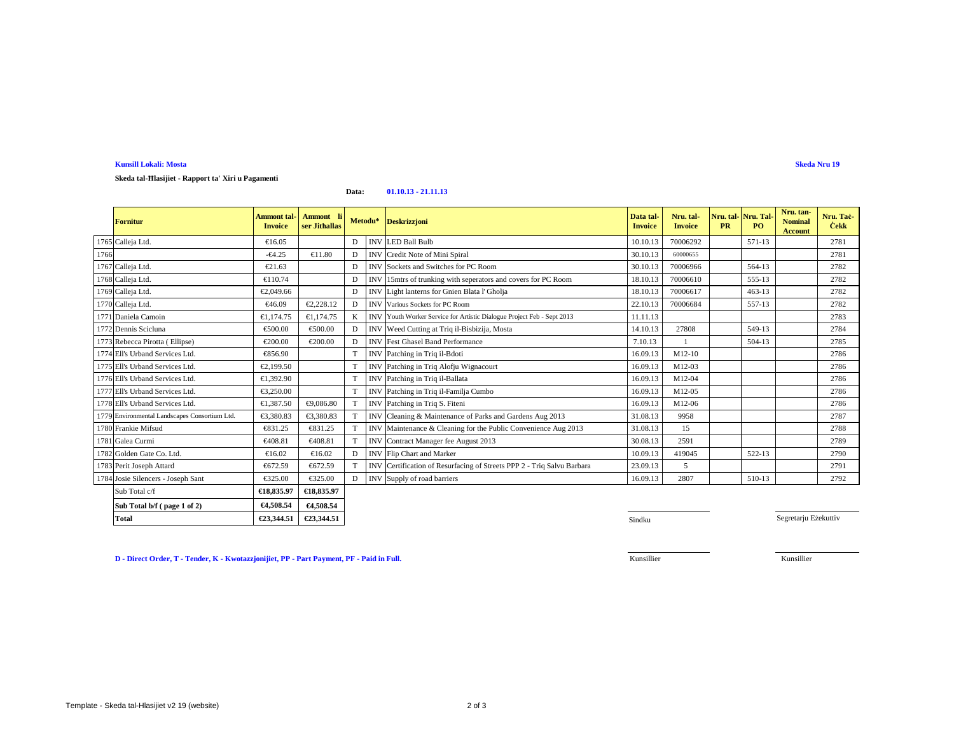# **Kunsill Lokali: Mosta**

**Skeda tal-Ħlasijiet - Rapport ta' Xiri u Pagamenti**

#### **Data:01.10.13 - 21.11.13**

|      | <b>Fornitur</b>                               | <b>Ammont</b> tal-<br><b>Invoice</b> | Ammont li<br>ser Jithallas |   | Metodu*    | <b>Deskrizzjoni</b>                                                    | Data tal-<br><b>Invoice</b> | Nru. tal-<br><b>Invoice</b> | Nru. tal-Nru. Tal-<br><b>PR</b> | P <sub>O</sub> | Nru. tan-<br><b>Nominal</b><br><b>Account</b> | Nru. Tač-<br><b>Čekk</b> |
|------|-----------------------------------------------|--------------------------------------|----------------------------|---|------------|------------------------------------------------------------------------|-----------------------------|-----------------------------|---------------------------------|----------------|-----------------------------------------------|--------------------------|
|      | 1765 Calleja Ltd.                             | €16.05                               |                            | D |            | <b>INV</b> LED Ball Bulb                                               | 10.10.13                    | 70006292                    |                                 | 571-13         |                                               | 2781                     |
| 1766 |                                               | $-64.25$                             | €11.80                     | D | <b>INV</b> | Credit Note of Mini Spiral                                             | 30.10.13                    | 60000655                    |                                 |                |                                               | 2781                     |
|      | 1767 Calleja Ltd.                             | €21.63                               |                            | D |            | <b>INV</b> Sockets and Switches forPC Room                             | 30.10.13                    | 70006966                    |                                 | 564-13         |                                               | 2782                     |
|      | 1768 Calleja Ltd.                             | €110.74                              |                            | D | <b>INV</b> | 15mtrs of trunking with seperators and covers for PC Room              | 18.10.13                    | 70006610                    |                                 | 555-13         |                                               | 2782                     |
|      | 1769 Calleja Ltd.                             | €2,049.66                            |                            | D |            | INV Light lanterns for Gnen Blata l' Gholja                            | 18.10.13                    | 70006617                    |                                 | $463 - 13$     |                                               | 2782                     |
|      | 1770 Calleja Ltd.                             | €46.09                               | €2.228.12                  | D |            | <b>INV Various Sockets for PC Room</b>                                 | 22.10.13                    | 70006684                    |                                 | 557-13         |                                               | 2782                     |
|      | 1771 Daniela Camoin                           | €1,174.75                            | €1.174.75                  | K |            | INVIYouth Worker Service for Artistic Dialogue Project Feb - Sept 2013 | 11.11.13                    |                             |                                 |                |                                               | 2783                     |
|      | 1772 Dennis Scicluna                          | €500.00                              | €500.00                    | D | <b>INV</b> | Weed Cutting a Triq il-Bisbizija, Mosta                                | 14.10.13                    | 27808                       |                                 | 549-13         |                                               | 2784                     |
|      | 1773 Rebecca Pirotta (Ellipse)                | €200.00                              | €200.00                    | D | <b>INV</b> | Fet Ghasel Band Performance                                            | 7.10.13                     |                             |                                 | 504-13         |                                               | 2785                     |
|      | 1774 Ell's Urband Services Ltd.               | €856.90                              |                            | T | <b>INV</b> | Patching in Triq il-Bdoti                                              | 16.09.13                    | M12-10                      |                                 |                |                                               | 2786                     |
|      | 1775 Ell's Urband Services Ltd.               | €2.199.50                            |                            | T |            | INV Patchingin Triq Alofju Wignacourt                                  | 16.09.13                    | M12-03                      |                                 |                |                                               | 2786                     |
|      | 1776 Ell's Urband Services Ltd.               | €1.392.90                            |                            | T | <b>INV</b> | Patchingin Triq il-Ballata                                             | 16.09.13                    | M12-04                      |                                 |                |                                               | 2786                     |
|      | 1777 Ell's Urband Services Ltd.               | €3,250.00                            |                            | T |            | INV Patchingin Triq il-Familja Cumbo                                   | 16.09.13                    | M12-05                      |                                 |                |                                               | 2786                     |
|      | 1778 Ell's Urband Services Ltd.               | €1,387.50                            | €9,086.80                  |   | INV        | Patching in Triq S. Fiteni                                             | 16.09.13                    | M12-06                      |                                 |                |                                               | 2786                     |
|      | 1779 Environmental Landscapes Consortium Ltd. | €3.380.83                            | €3,380.83                  |   | <b>INV</b> | Cleaning & Maintenance of Paks and Gardens Aug 2013                    | 31.08.13                    | 9958                        |                                 |                |                                               | 2787                     |
|      | 1780 Frankie Mifsud                           | €831.25                              | €831.25                    |   | <b>INV</b> | Maintenance & Ceaning for the Public Convenience Aug 2013              | 31.08.13                    | 15                          |                                 |                |                                               | 2788                     |
|      | 1781 Galea Curmi                              | €408.81                              | €408.81                    | T | <b>INV</b> | Contract Manager de August 2013                                        | 30.08.13                    | 2591                        |                                 |                |                                               | 2789                     |
|      | 1782 Golden Gate Co. Ltd.                     | €16.02                               | €16.02                     | D |            | <b>INV</b> Flip Chartand Marker                                        | 10.09.13                    | 419045                      |                                 | 522-13         |                                               | 2790                     |
|      | 1783 Perit Joseph Attard                      | €672.59                              | €672.59                    |   | <b>INV</b> | Certificaton of Resurfacing of Streets PPP 2 - Triq Salvu Barbara      | 23.09.13                    | 5                           |                                 |                |                                               | 2791                     |
|      | 1784 Josie Silencers - Joseph Sant            | €325.00                              | €325.00                    | D |            | INV Supply of road barriers                                            | 16.09.13                    | 2807                        |                                 | 510-13         |                                               | 2792                     |
|      | Sub Total c/f                                 | €18,835.97                           | €18,835.97                 |   |            |                                                                        |                             |                             |                                 |                |                                               |                          |
|      | Sub Total b/f (page 1 of 2)                   | €4,508.54                            | €4,508.54                  |   |            |                                                                        |                             |                             |                                 |                |                                               |                          |

**1** Sindku

**D - Direct Order, T - Tender, K - Kwotazzjonijiet, PP - Part Payment, PF - Paid in Full.**

**€23,344.51 €23,344.51**

€23,344.51

Kunsillier

Kunsillier

Segretarju Eżekuttiv

**Total**